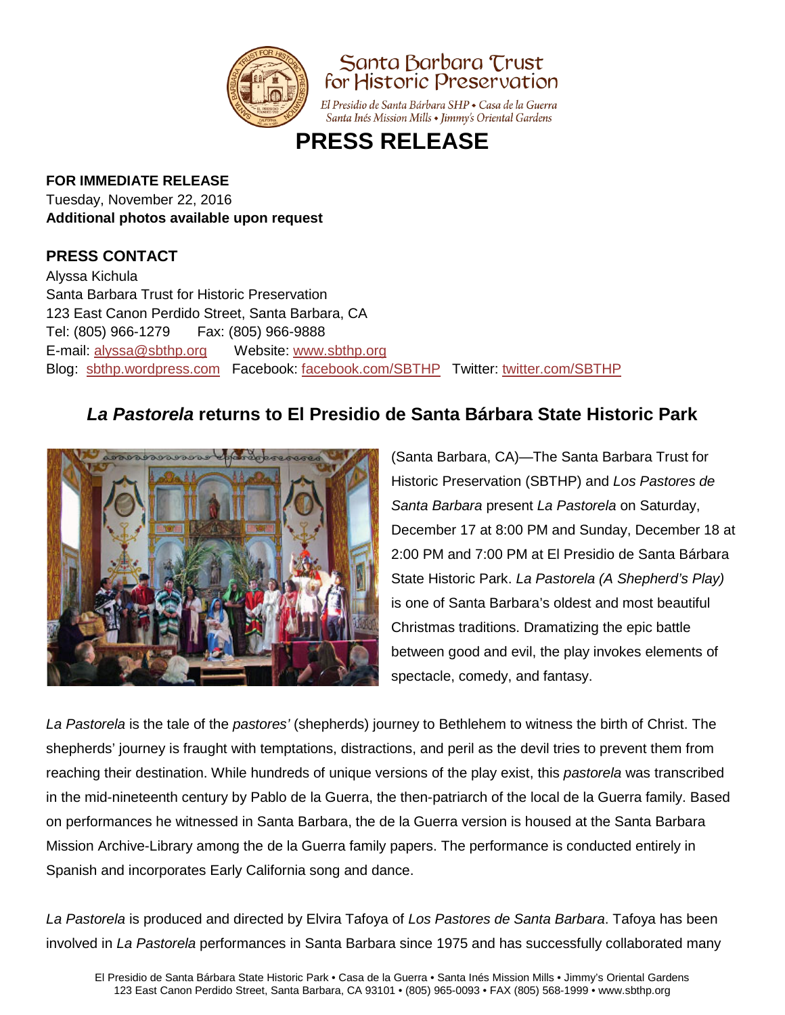

#### **FOR IMMEDIATE RELEASE**

Tuesday, November 22, 2016 **Additional photos available upon request**

### **PRESS CONTACT**

Alyssa Kichula Santa Barbara Trust for Historic Preservation 123 East Canon Perdido Street, Santa Barbara, CA Tel: (805) 966-1279 Fax: (805) 966-9888 E-mail: [alyssa@sbthp.org](mailto:alyssa@sbthp.org) Website: [www.sbthp.org](http://www.sbthp.org/) Blog: [sbthp.wordpress.com](http://sbthp.wordpress.com/) Facebook: [facebook.com/SBTHP](http://www.facebook.com/SBTHP) Twitter: [twitter.com/SBTHP](http://twitter.com/SBTHP)

## *La Pastorela* **returns to El Presidio de Santa Bárbara State Historic Park**



(Santa Barbara, CA)—The Santa Barbara Trust for Historic Preservation (SBTHP) and *Los Pastores de Santa Barbara* present *La Pastorela* on Saturday, December 17 at 8:00 PM and Sunday, December 18 at 2:00 PM and 7:00 PM at El Presidio de Santa Bárbara State Historic Park. *La Pastorela (A Shepherd's Play)* is one of Santa Barbara's oldest and most beautiful Christmas traditions. Dramatizing the epic battle between good and evil, the play invokes elements of spectacle, comedy, and fantasy.

*La Pastorela* is the tale of the *pastores'* (shepherds) journey to Bethlehem to witness the birth of Christ. The shepherds' journey is fraught with temptations, distractions, and peril as the devil tries to prevent them from reaching their destination. While hundreds of unique versions of the play exist, this *pastorela* was transcribed in the mid-nineteenth century by Pablo de la Guerra, the then-patriarch of the local de la Guerra family. Based on performances he witnessed in Santa Barbara, the de la Guerra version is housed at the Santa Barbara Mission Archive-Library among the de la Guerra family papers. The performance is conducted entirely in Spanish and incorporates Early California song and dance.

*La Pastorela* is produced and directed by Elvira Tafoya of *Los Pastores de Santa Barbara*. Tafoya has been involved in *La Pastorela* performances in Santa Barbara since 1975 and has successfully collaborated many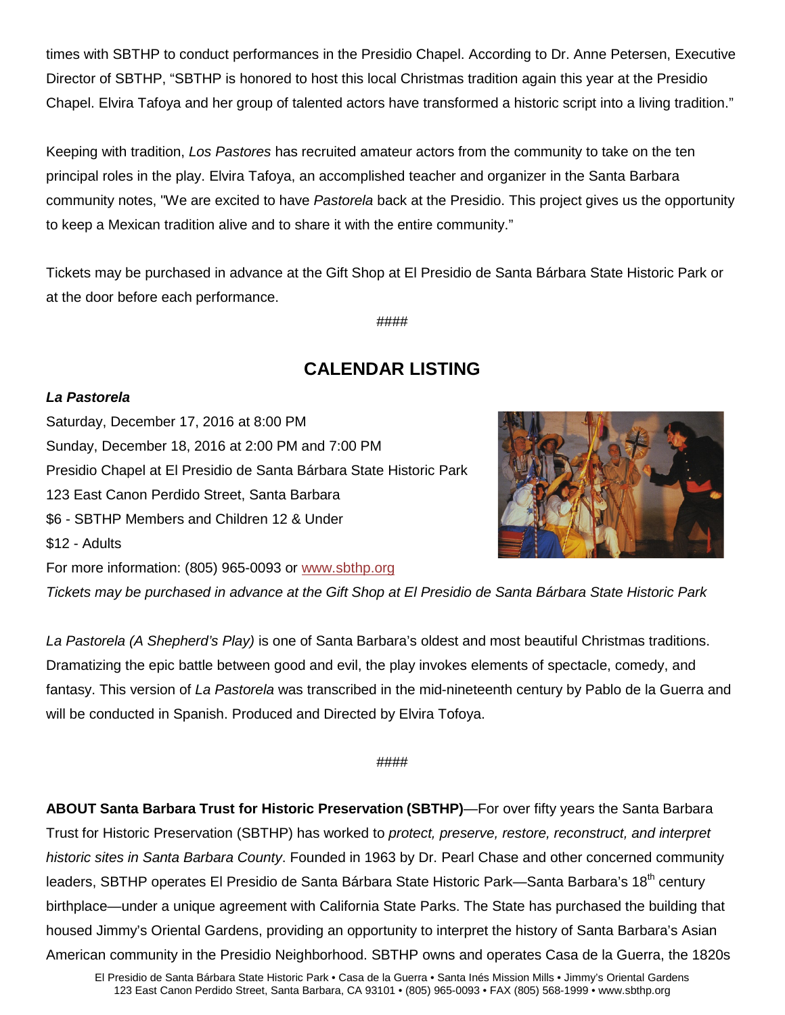times with SBTHP to conduct performances in the Presidio Chapel. According to Dr. Anne Petersen, Executive Director of SBTHP, "SBTHP is honored to host this local Christmas tradition again this year at the Presidio Chapel. Elvira Tafoya and her group of talented actors have transformed a historic script into a living tradition."

Keeping with tradition, *Los Pastores* has recruited amateur actors from the community to take on the ten principal roles in the play. Elvira Tafoya, an accomplished teacher and organizer in the Santa Barbara community notes, "We are excited to have *Pastorela* back at the Presidio. This project gives us the opportunity to keep a Mexican tradition alive and to share it with the entire community."

Tickets may be purchased in advance at the Gift Shop at El Presidio de Santa Bárbara State Historic Park or at the door before each performance.

####

# **CALENDAR LISTING**

### *La Pastorela*

Saturday, December 17, 2016 at 8:00 PM Sunday, December 18, 2016 at 2:00 PM and 7:00 PM Presidio Chapel at El Presidio de Santa Bárbara State Historic Park 123 East Canon Perdido Street, Santa Barbara \$6 - SBTHP Members and Children 12 & Under \$12 - Adults For more information: (805) 965-0093 or [www.sbthp.org](http://www.sbthp.org/)



*Tickets may be purchased in advance at the Gift Shop at El Presidio de Santa Bárbara State Historic Park*

*La Pastorela (A Shepherd's Play)* is one of Santa Barbara's oldest and most beautiful Christmas traditions. Dramatizing the epic battle between good and evil, the play invokes elements of spectacle, comedy, and fantasy. This version of *La Pastorela* was transcribed in the mid-nineteenth century by Pablo de la Guerra and will be conducted in Spanish. Produced and Directed by Elvira Tofoya.

####

**ABOUT Santa Barbara Trust for Historic Preservation (SBTHP)**—For over fifty years the Santa Barbara Trust for Historic Preservation (SBTHP) has worked to *protect, preserve, restore, reconstruct, and interpret historic sites in Santa Barbara County*. Founded in 1963 by Dr. Pearl Chase and other concerned community leaders, SBTHP operates El Presidio de Santa Bárbara State Historic Park—Santa Barbara's 18<sup>th</sup> century birthplace—under a unique agreement with California State Parks. The State has purchased the building that housed Jimmy's Oriental Gardens, providing an opportunity to interpret the history of Santa Barbara's Asian American community in the Presidio Neighborhood. SBTHP owns and operates Casa de la Guerra, the 1820s